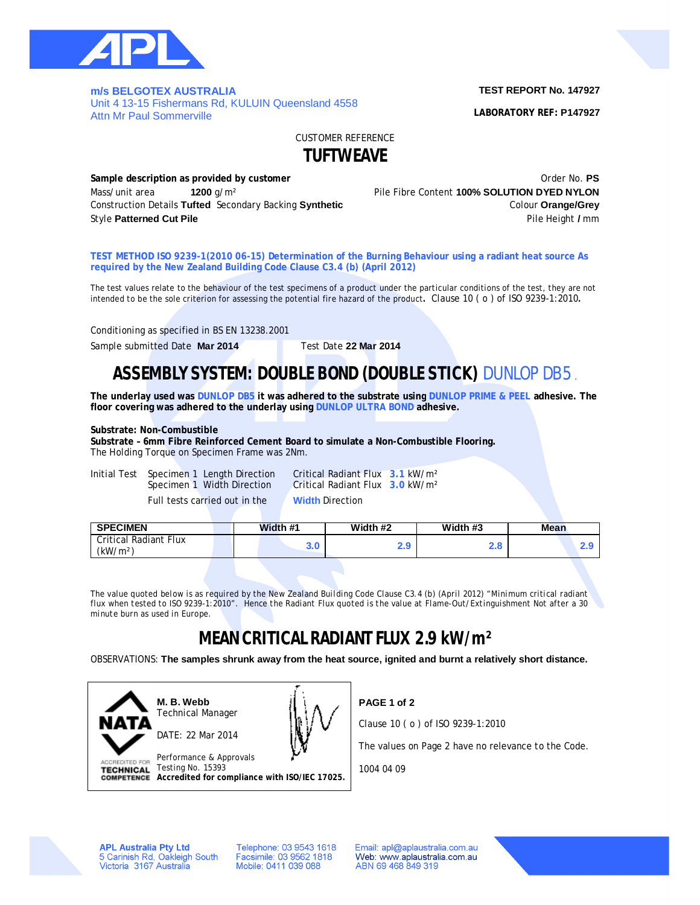

**m/s BELGOTEX AUSTRALIA**  Unit 4 13-15 Fishermans Rd, KULUIN Queensland 4558 Attn Mr Paul Sommerville

### **TEST REPORT No. 147927**

**LABORATORY REF: P147927**

CUSTOMER REFERENCE **TUFTWEAVE**

**Sample description as provided by customer Sample description as provided by customer Constanting Community** Criti Mass/unit area **1200** g/m<sup>2</sup> **1200** and **1200** and **Pile Fibre Content <b>100% SOLUTION DYED NYLON** 

Construction Details **Tufted** Secondary Backing **Synthetic** Colour **Orange/Grey** Style **Patterned Cut Pile** Pile Height **/** mm

**TEST METHOD ISO 9239-1(2010 06-15) Determination of the Burning Behaviour using a radiant heat source As required by the New Zealand Building Code Clause C3.4 (b) (April 2012)**

The test values relate to the behaviour of the test specimens of a product under the particular conditions of the test, they are not intended to be the sole criterion for assessing the potential fire hazard of the product**.** Clause 10 ( o ) of ISO 9239-1:2010**.**

Conditioning as specified in BS EN 13238.2001

Sample submitted Date Mar 2014 Test Date 22 Mar 2014

# **ASSEMBLY SYSTEM: DOUBLE BOND (DOUBLE STICK)** DUNLOP DB5.

**The underlay used was DUNLOP DB5 it was adhered to the substrate using DUNLOP PRIME & PEEL adhesive. The floor covering was adhered to the underlay using DUNLOP ULTRA BOND adhesive.**

### **Substrate: Non-Combustible**

**Substrate – 6mm Fibre Reinforced Cement Board to simulate a Non-Combustible Flooring.** The Holding Torque on Specimen Frame was 2Nm.

Initial Test Specimen 1 Length Direction Critical Radiant Flux **3.1** kW/m²

Full tests carried out in the **Width** Direction

Specimen 1 Width Direction Critical Radiant Flux **3.0** kW/m²

| <b>SPECIMEN</b>                               | Width #1   | Width #2 | Width #3   | <b>Mean</b> |
|-----------------------------------------------|------------|----------|------------|-------------|
| Critical Radiant Flux<br>(kW/m <sup>2</sup> ) | ז כ<br>J.U | 2.J      | ס נ<br>L.U |             |

*The value quoted below is as required by the New Zealand Building Code Clause C3.4 (b) (April 2012) "Minimum critical radiant flux when tested to ISO 9239-1:2010". Hence the Radiant Flux quoted is the value at Flame-Out/Extinguishment Not after a 30 minute burn as used in Europe.*

# **MEAN CRITICAL RADIANT FLUX 2.9 kW/m²**

OBSERVATIONS: **The samples shrunk away from the heat source, ignited and burnt a relatively short distance.**



**PAGE 1 of 2**

Clause 10 ( o ) of ISO 9239-1:2010

The values on Page 2 have no relevance to the Code.

1004 04 09

**APL Australia Pty Ltd** 5 Carinish Rd, Oakleigh South<br>Victoria 3167 Australia Telephone: 03 9543 1618 Facsimile: 03 9562 1818 Mobile: 0411 039 088

Email: apl@aplaustralia.com.au Web: www.aplaustralia.com.au ABN 69 468 849 319